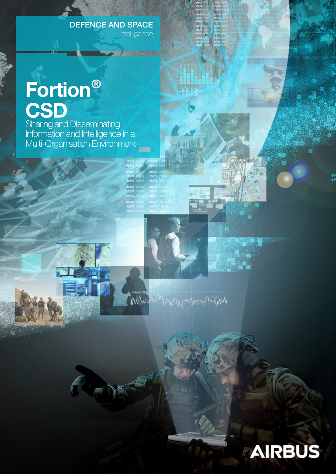### **Intelligence**

# Fortion® **CSD**

Sharing and Disseminating Information and Intelligence in a Multi-Organisation Environment **DEFENCE AND SPACE**<br>
Intelligence<br> **One**<br>
Disseminating<br>
and Intelligence in a<br>
sation Environment

Mart



mondayhim